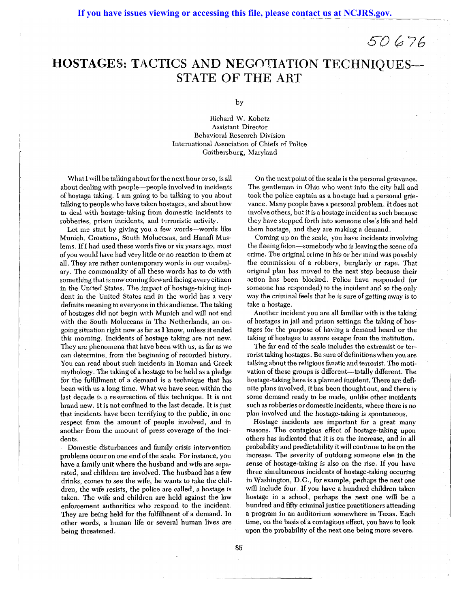*00076* 

## **HOSTAGES: TACTICS AND NEGOTIATION TECHNIQUES-STATE OF THE ART**

by

Richard W. Kobetz Assistant Director Behavioral Research Division International Association of Chiefs of Police Gaithersburg, Maryland

What I will be talking about for the next hour or so, is all about dealing with people—people involved in incidents of hostage taking. I am going to be talking to you about talking to people who have taken hostages, and about how to deal with hostage-taking from domestic incidents to robberies, prison incidents, and terroristic activity.

Let me start by giving you a few words-words like Munich, Croations, South Moluccaus, and Hanafi Muslems. If I had used these words five or six years ago, most of you would have had very little or no reaction to them at all. They are rather contemporary words in our vocabulary. The commonality of all these words has to do with something that is now coming forward facing every citizen in the United States. The impact of hostage-taking incident in the United States and in the world has a very definite meaning to everyone in this audience. The taking of hostages did not begin with Munich and will not end with the South Moluccans in The Netherlands, an ongoing situation right now as far as I know, unless it ended this morning. Incidents of hostage taking are not new. They are phenomena that have been with us, as far as we can determine, from the beginning of recorded history. You can read about such incidents in Roman and Greek mythology. The taking of a hostage to be held as a pledge for the fulfillment of a demand is a technique that has been with us a long time. What we have seen within the last decade is a resurrection of this technique. It is not brand new. It is not confined to the last decade. It is just that incidents have been terrifying to the public, in one respect from the amount of people involved, and in another from the amount of press coverage of the incidents.

Domestic disturbances and family crisis intervention problems Occur on one end of the scale. For instance, you have a family unit where the husband and wife are separated, and children are involved. The husband has a few drinks, comes to see the wife, he wants to take the children, the wife resists, the police are called, a hostage is taken. The wife and children are held against the law enforcement authorities who respond to the incident. They are being held for the fulfillment of a demand. In other words, a human life or several human lives are being threatened.

On the next point of the scale is the personal grievance. The gentleman in Ohio who went into the city hall and took the police captain as a hostage had a personal grievance. Many people have a personal problem. It does not involve others, but it is a hostage incident as such because they have stepped forth into someone else's life and held them hostage, and they are making a demand.

Coming up on the scale, you have incidents involving the fleeing felon-somebody who is leaving the scene of  $\tilde{a}$ crime. The original crime in his or her mind was possibly the commission of a robbery, burglarly or rape. That original plan has moved to the next step because their action has been blocked. Police have responded (or someone has responded) to the incident and so the only way the criminal feels that he is sure of getting away is to take a hostage.

Another incident you are all familiar with is the taking of hostages in jail and prison settings: the taking of hostages for the purpose of having a demand heard or the taking of hostages to assure escape from the institution.

The far end of the scale includes the extremist or terrorist taking hostages. Be sure of definitions when you are talking about the religious fanatic and terrorist. The motivation of these groups is different--totally different. The hostage-taking here is a planned incident. There are definite plans involved, it has been thought out, and there is some demand ready to be made, unlike other incidents such as robberies or domestic incidents, where there is no plan involved and the hostage-taking is spontaneous.

Hostage incidents are important for a great many reasons. The contagious effect of hostage-taking upon others has indicated that it is on the increase, and in all probability and predictability it will continue to be on the increase. The severity of outdoing someone else in the sense of hostage-taking is also on the rise. If you have three simultaneous incidents of hostage-taking occuring in Washington, D.C., for example, perhaps the next one will include four. If you have a hundred children taken hostage in a school, perhaps the next one will be a hundred and fifty criminal justice practitioners attending a program in an auditorium somewhere in Texas. Each time, on the basis of a contagious effect, you have to look upon the probability of the next one being more severe.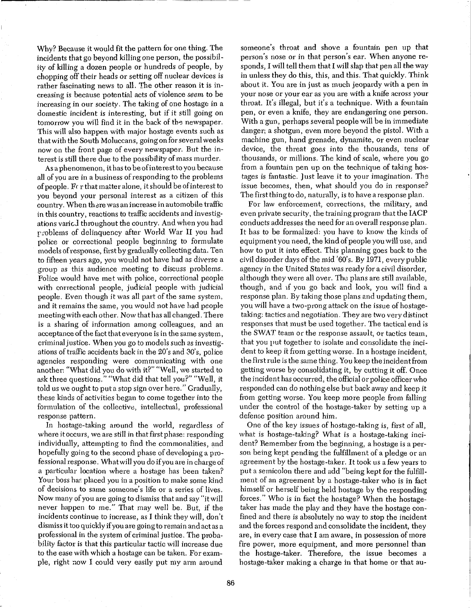Why? Because it would fit the pattern for one thing. The incidents that go beyond killing one person, the possibility of killing a dozen people or hundreds of people, by chopping off their heads or setting off nuclear devices is rather fascinating news to all. The other reason it is increasing is because potential acts of violence *seem* to be increasing in our society. The taking of one hostage in a domestic incident is interesting, but if it still going on tomorrow you will find it in the back of the newspaper. This will also happen with major hostage events such as that with the South Moluccans, going on for several weeks now on the front page of every newspaper. But the interest is still there due to the possibility of mass murder.

------- --

As a phenomenon, ithas to be of interest to you because all of you are in a business of responding to the problems of people. For that matter alone, it should be of interest to you beyond your personal interest as a citizen of this country. When there was an increase in automobile traffic in this country, reactions to traffic accidents and investigations varied throughout the country. And when you had problems of delinquency after World War II you had police or correctional people beginning to formulate models of response, first by gradually collecting data. Ten to fifteen years ago, you would not have bad as diverse a group as this audience meeting to discuss problems. Folice would have met with police, correctional people with correctional people, judicial people with judicial people. Even though it was all part of the same system, and it remains the same, you would not have had people meeting with each other. Now that has all changed. There is a sharing of information among colleagues, and an acceptance of the fact that everyone is in the same system, criminal justice. When you go to models such as investigations of traffic accidents back in the 20's and 30's, police agencies responding were communicating with one another: "What did you do with it?" "Well, we started to ask three questions." "What did that tell you?" "Well, it told us we ought to put a stop sign over here." Gradually, these kinds of activities began to come together into the formulation of the collective, intellectual, professional response pattern.

In hostage-taking around the world, regardless of where itoccurs, we are still in that first phase: responding individually, attempting to find the commonalities, and hopefully going to the second phase of developing a professional response. What will you do if you are in charge of a particular location where a hostage has been taken? Your boss has placed you in a position to make some kind of decisions to same someone's life or a series of lives. Now many of you are going to dismiss that and say "jtwill never happen to me." That may well be. But, if the incidents continue to increase, as I think they will, don't dismiss it too quickly if you are going to remain and act as a professional in the system of criminal justice. The probability factor is that this particular tactic will increase due to the ease with which a hostage can be taken. For example, right now I could very easily put my arm around

someone's throat and shove a fountain pen up that person's nose or in that person's ear. When anyone responds, I will tell them that I will slap that pen all the way in unless they do this, this, and this. That quickly. Think about it. You are in just as much jeopardy with a pen in your nose or your ear as you are with a knife across your throat. It's illegal, but it's a technique. With a fountain pen, or even a knife, they are endangering one person. With a gun, perhaps several people will be in immediate danger; a shotgun, even more beyond the pistol. With a machine gun, hand grenade, dynamite, Or even nuclear device, the threat goes into the thousands, tens of thousands, or millions. The kind of scale, where you go from a fountain pen up on the technique of taking hostages is fantastic. Just leave it to your imagination. The issue becomes, then, what should you do in response? The first thing to do, naturally, is to have a response plan.

For law enforcement, corrections, the military, and even private security, the training program that the IACP conducts addresses the need for an overall response plan. It has to be formalized: you have to know the kinds of equipment you need, the kind of people you will use, and how to put it into effect. This planning goes back to the civil disorder days of the mid '60's. By 1971, every public agency in the United States was ready for a civil disorder, although they were all over. The plans are still available, though, and if you go back and look, you will find a response plan. By taking those plans and updating them, you will have a two-prong attack on the issue of hostagetaking: tactics and negotiation. They are two very distinct responses that must be used together. The tactical end is the SWAT team or the response assault, Or tactics team, that you put together to isolate and consolidate the incident to keep it from getting worse. In a hostage incident, the first rule is the same thing. You keep the incident from getting worse by consolidating it, by cutting it off. Once the incident has occurred, the official or police officer who responded can do nothing else but back away and keep it from getting worse. You keep more people from falling under the control of the hostage-taker by setting up a defense position around him.

One of the key issues of hostage-taking is, first of all, what is hostage-taking? What is a hostage-taking incident? Remember from the beginning, a hostage is a person being kept pending the fulfillment of a pledge or an agreement by the hostage-taker. It took us a few years to put a semicolon there and add "being kept for the fulfillment of an agreement by a hostage-taker who is in fact himself or herself being held hostage by the responding forces." Who is in fact the hostage? When the hostagetaker has made the play and they have the hostage confined and there is absolutely no way to stop the incident and the forces respond and consolidate the incident, they are, in every case that I am aware, in possession of more fire power, more equipment, and more personnel than the hostage-taker. Therefore, the issue becomes a hostage-taker making a charge in that home or that au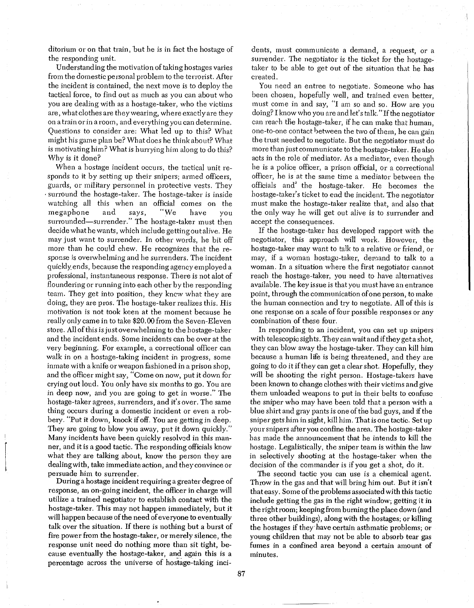ditorium or on that train, but he is in fact the hostage of the responding unit.

Understanding the motivation of taking hostages varies from the domestic personal problem to the terrorist. After the incident is contained, the next move is to deploy the tactical force, to find out as much as you can about who you are dealing with as a hostage-taker, who the victims are, what clothes are they wearing, where exactly are they on a train orin a room, and everything you can determine. Questions to consider are: What led up to this? What might his game plan be? What does he think about? What is motivating him? What is hurrying him along to do this? Why is it done?

When a hostage incident occurs, the tactical unit responds to it by setting up their snipers; armed officers, guards, or military personnel in protective vests. They . surround the hostage-taker. The hostage-taker is inside watching all this when an official comes on the megaphone and says, "We have you surrounded-surrender." The hostage-taker must then decide what he wants, which include gettingout alive. He may just want to surrender. In other words, he bit off more than he could chew. He recognizes that the response is overwhelming and he surrenders. The incident quickly' ends, because the responding agency employed a professional, instantaneous response. There is not alot of floundering or running into each other by the responding team. They get into position, they kncw what they are doing, they are pros. The hostage-taker realizes this. His motivation is not took keen at the moment because he really only came in to take \$20.00 from the Seven-Eleven store. All of this is just overwhelming to the hostage-taker and the incident ends. Some incidents can be over at the very beginning. For example, a correctional officer can walk in on a hostage-taking incident in progress, some inmate with a knife or weapon fashioned in a prison shop, and the officer might say, "Come on now, put it down for crying out loud. You only have six months to go. You are in deep now, and you are going to get in worse." The hostage-taker agrees, surrenders, and it's over. The same thing occurs during a domestic incident or even a robbery. "Put it down, knock if off. You are getting in deep. They are going to blow you away, put it down quickly. Many incidents have been quickly resolved in this manner, and it is a good tactic. The responding officials know what they are talking about, know the person they are dealingwith, take immediate action, and they convince or persuade him to surrender.

During a hostage incident requiring a greater degree of response, an on-going incident, the officer in charge will utilize a trained negotiator to establish contact with the hostage-taker. This may not happen immediately, but it will happen because of the need of everyone to eventually talk over the situation. If there is nothing but a burst of fire power from the hostage-taker, or merely silence, the response unit need do nothing more than sit tight, because eventually the hostage-taker, and again this is a percentage across the universe of hostage-taking incidents, must communicate a demand, a request, or a surrender. The negotiator is the ticket for the hostagetaker to be able to get out of the situation that he has created.

You need an entree to negotiate. Someone who has been chosen, hopefully well, and trained even better, must come in and say, "I am so and so. How are you doing? I know who you are and let' stalk. "If the negotiator can reach the hostage-taker, if he can make that human, one-to-one contact between the two of them, he can gain the trust needed to negotiate. But the negotiator must do more than just communicate to the hostage-taker. He also acts in the role of mediator. As a mediator, even though he is a police officer, a prison official, Or a correctional officer, he is at the same time a mediator between the officials and the hostage-taker. He becomes the hostage-taker's ticket to end the incident. The negotiator must make the hostage-taker realize that, and also that the only way he will get out alive is to surrender and accept the consequences.

If the hostage-taker has developed rapport with the negotiator, this approach will work. However, the hostage-taker may want to talk to a relative or friend, or may, if a woman hostage-taker, demand to talk to a woman. In a situation where the first negotiator cannot reach the hostage-taker, you need to have alternatives available. The key issue is that you must have an entrance point, through the communication of one person, to make the human connection and try to negotiate. All of this is one response on a scale of four possible responses or any combination of these four.

In responding to an incident, you can set up snipers with telescopic sights. They can wait and if they get a shot, they can blow away the hostage-taker. They can kill him because a human life is being threatened, and they are going to do it if they can get a clear shot. Hopefully, they will be shooting the right person. Hostage-takers have been known to change clothes with their victims and give them unloaded weapons to put in their belts to confuse the sniper who may have been told that a person with a blue shirt and gray pants is one of the bad guys, and if the sniper gets him in sight, kill him. That is one tactic. Set up your snipers after you confine the area. The hostage-taker has made the announcement that he intends to kill the hostage. Legalistically, the sniper team is within the law in selectively shooting at the hostage-taker when the decision of the commander is if you get a shot, do it.

The second tactic you can use is a chemical agent. Throw in the gas and that will bring him out. But it isn't that easy. Some of the problems associated with this tactic include getting the gas in the right window; getting it in the right room; keeping from burning the place down (and three other buildings), along with the hostages; or killing the hostages if they' have certain asthmatic problems; or young children that may not be able to absorb tear gas fumes in a confined area beyond a certain amount of minutes.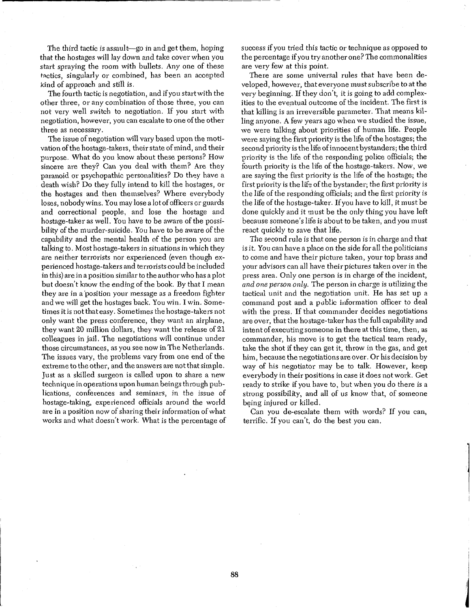The third tactic is assault-go in and get them, hoping that the hostages will lay down and take cover when you start spraying the room with bullets. Anyone of these tactics, singularly or combined, has been an accepted kind of approach and still is.

The fourth tactic is negotiation, and if you start with the other three, or any combination of those three, you can not very well switch to negotiation. If you start with negotiation, however, you can escalate to one of the other three as necessary.

The issue of negotiation will vary based upon the motivation of the hostage-takers, their state of mind, and their purpose. What do you know about these persons? How sincere are they? Can you deal with them? Are they paranoid or psychopathic personalities? Do they have a death wish? Do they fully intend to kill the hostages, Or the hostages and then themselves? Where everybody loses, nobody wins. You may lose alotof officers or guards and correctional people, and lose the hostage and hostage-taker as well. You have to be aware of the possibility of the murder-suicide. You have to be aware of the capability and the mental health of the person you are talking to. Most hostage-takers in situations in which they are neither terrorists nor experienced (even though experienced hostage-takers and terrorists could be included in this) are in a position similar to the author who has a plot but doesn't know the ending of the book. By that I mean they are in a position your message as a freedom fighter and we will get the hostages back. You win. I win. Sometimes it is not that easy. Sometimes the hostage-takers not only want the press conference, they want an airplane, they want 20 million dollars, they want the release of 21 colleagues in jail. The negotiations will continue under those circumstances, as you see now in The Netherlands. The issues vary, the problems vary from one end of the extreme to the other, and the answers are not that simple. Just as a skilled surgeon is called upon to share a new technique in operations upon human beings through publications, conferences and seminars, in the issue of hostage-taking, experienced officials around the world are in a position now of sharing their information of what works and what doesn't work. What is the percentage of success if you tried this tactic or technique as opposed to the percentage if you try another one? The commonalities are very few at this point.

There are some universal rules that have been developed, however, that everyone must subscribe to at the very beginning. If they don't, it is going to add complexities to the eventual outcome of the incident. The first is that killing is an irreversible parameter. That means killing anyone. A few years ago when we studied the issue, we were talking about priorities of human life. People were saying the first priority is the life of the hostages; the second priority is the life of innocent bystanders; the third priority is the life of the responding police officials; the fourth priority is the life of the hostage-takers. Now, we are saying the first priority is the life of the hostage; the first priority is the life of the bystander; the first priority is the life of the responding officials; and the first priority is the life of the hostage-taker. If you have to kill, it must be done quickly and it must be the only thing you have left because someone's life is about to be taken, and you must react quickly to save that life.

The second rule is that one person is in charge and that is it. You can have a place on the side for all the politicians to come and have their picture taken, your top brass and your advisors can all have their pictures taken over in the press area. Only one person is in charge of the incident, *and one person only.* The person in charge is utilizing the tactical unit and the negotiation unit. He has set up a command post and a pablic information officer to deal with the press. If that commander decides negotiations are over, that the hostage-taker has the full capability and intent of executing someone in there at this time, then, as commander, his move is to get the tactical team ready, take the shot if they can get it, throw in the gas, and get him, because the negotiations are over. Or his decision by way of his negotiator may be to talk. However, keep everybody in their positions in case it does not work. Get ready to strike if you have to, but when you do there is a strong possibility, and all of us know that, of someone being injured or killed.

Can you de-escalate them with words? If you can, terrific. !f you can't, do the best you can.

I

I

~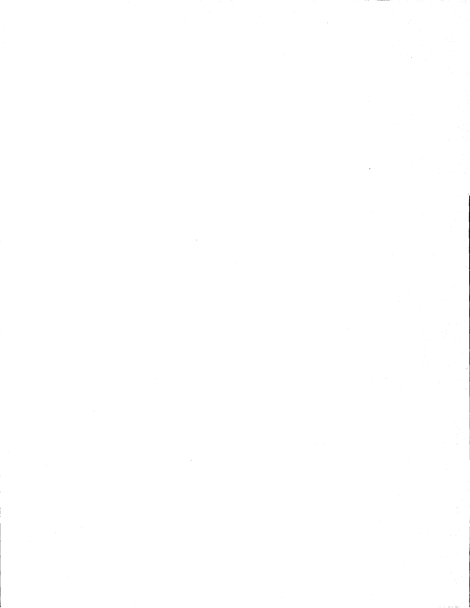